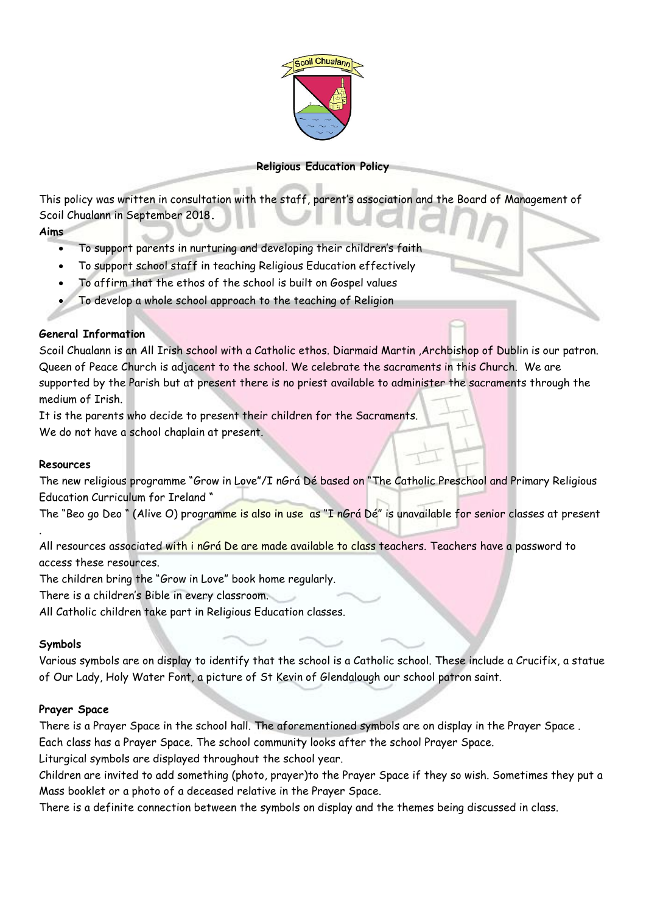

## **Religious Education Policy**

This policy was written in consultation with the staff, parent's association and the Board of Management of Scoil Chualann in September 2018**.**

## **Aims**

- To support parents in nurturing and developing their children's faith
- To support school staff in teaching Religious Education effectively
- To affirm that the ethos of the school is built on Gospel values
- To develop a whole school approach to the teaching of Religion

## **General Information**

Scoil Chualann is an All Irish school with a Catholic ethos. Diarmaid Martin ,Archbishop of Dublin is our patron. Queen of Peace Church is adjacent to the school. We celebrate the sacraments in this Church. We are supported by the Parish but at present there is no priest available to administer the sacraments through the medium of Irish.

It is the parents who decide to present their children for the Sacraments. We do not have a school chaplain at present.

## **Resources**

.

The new religious programme "Grow in Love"/I nGrá Dé based on "The Catholic Preschool and Primary Religious Education Curriculum for Ireland "

The "Beo go Deo " (Alive O) programme is also in use as "I nGrá Dé" is unavailable for senior classes at present

All resources associated with i nGrá De are made available to class teachers. Teachers have a password to access these resources.

The children bring the "Grow in Love" book home regularly.

There is a children's Bible in every classroom.

All Catholic children take part in Religious Education classes.

## **Symbols**

Various symbols are on display to identify that the school is a Catholic school. These include a Crucifix, a statue of Our Lady, Holy Water Font, a picture of St Kevin of Glendalough our school patron saint.

## **Prayer Space**

There is a Prayer Space in the school hall. The aforementioned symbols are on display in the Prayer Space .

Each class has a Prayer Space. The school community looks after the school Prayer Space.

Liturgical symbols are displayed throughout the school year.

Children are invited to add something (photo, prayer)to the Prayer Space if they so wish. Sometimes they put a Mass booklet or a photo of a deceased relative in the Prayer Space.

There is a definite connection between the symbols on display and the themes being discussed in class.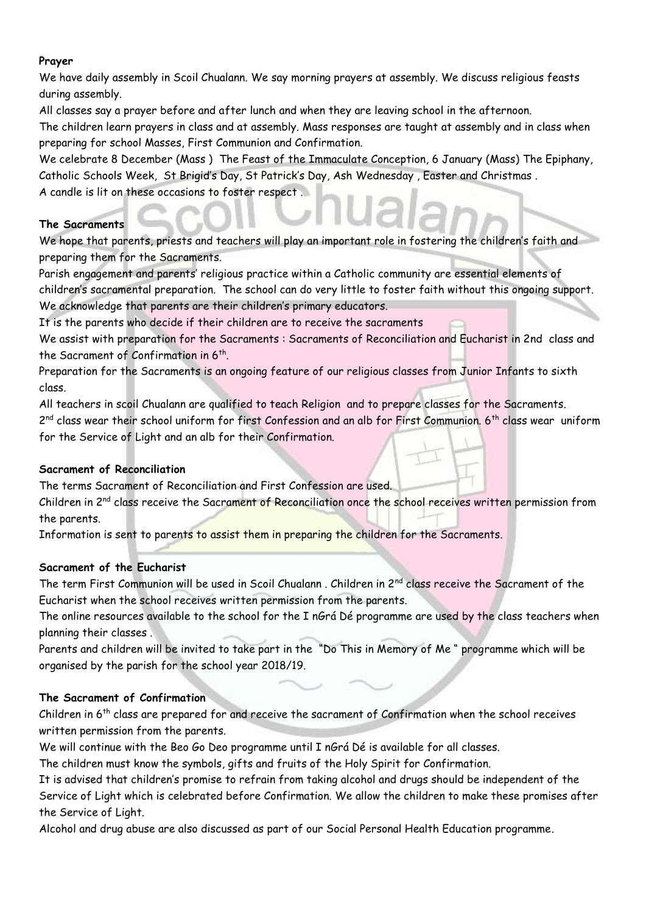### **Prayer**

We have daily assembly in Scoil Chualann. We say morning prayers at assembly. We discuss religious feasts during assembly.

All classes say a prayer before and after lunch and when they are leaving school in the afternoon.

The children learn prayers in class and at assembly. Mass responses are taught at assembly and in class when preparing for school Masses, First Communion and Confirmation.

We celebrate 8 December (Mass ) The Feast of the Immaculate Conception, 6 January (Mass) The Epiphany, Catholic Schools Week, St Brigid's Day, St Patrick's Day, Ash Wednesday , Easter and Christmas . A candle is lit on these occasions to foster respect .

#### **The Sacraments**

We hope that parents, priests and teachers will play an important role in fostering the children's faith and preparing them for the Sacraments.

Parish engagement and parents' religious practice within a Catholic community are essential elements of children's sacramental preparation. The school can do very little to foster faith without this ongoing support. We acknowledge that parents are their children's primary educators.

It is the parents who decide if their children are to receive the sacraments

We assist with preparation for the Sacraments : Sacraments of Reconciliation and Eucharist in 2nd class and the Sacrament of Confirmation in 6<sup>th</sup>.

Preparation for the Sacraments is an ongoing feature of our religious classes from Junior Infants to sixth class.

All teachers in scoil Chualann are qualified to teach Religion and to prepare classes for the Sacraments.

2<sup>nd</sup> class wear their school uniform for first Confession and an alb for First Communion. 6<sup>th</sup> class wear uniform for the Service of Light and an alb for their Confirmation.

## **Sacrament of Reconciliation**

The terms Sacrament of Reconciliation and First Confession are used.

Children in 2nd class receive the Sacrament of Reconciliation once the school receives written permission from the parents.

Information is sent to parents to assist them in preparing the children for the Sacraments.

## **Sacrament of the Eucharist**

The term First Communion will be used in Scoil Chualann, Children in 2<sup>nd</sup> class receive the Sacrament of the Eucharist when the school receives written permission from the parents.

The online resources available to the school for the I nGrá Dé programme are used by the class teachers when planning their classes .

Parents and children will be invited to take part in the "Do This in Memory of Me " programme which will be organised by the parish for the school year 2018/19.

#### **The Sacrament of Confirmation**

Children in 6th class are prepared for and receive the sacrament of Confirmation when the school receives written permission from the parents.

We will continue with the Beo Go Deo programme until I nGrá Dé is available for all classes.

The children must know the symbols, gifts and fruits of the Holy Spirit for Confirmation.

It is advised that children's promise to refrain from taking alcohol and drugs should be independent of the Service of Light which is celebrated before Confirmation. We allow the children to make these promises after the Service of Light.

Alcohol and drug abuse are also discussed as part of our Social Personal Health Education programme.